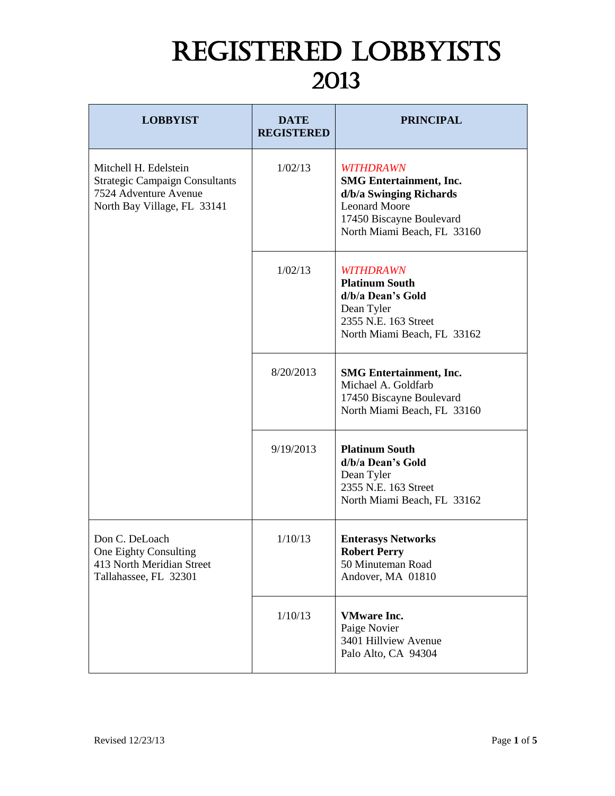## REGISTERED LOBBYISTS 2013

| <b>LOBBYIST</b>                                                                                                        | <b>DATE</b><br><b>REGISTERED</b> | <b>PRINCIPAL</b>                                                                                                                                                 |
|------------------------------------------------------------------------------------------------------------------------|----------------------------------|------------------------------------------------------------------------------------------------------------------------------------------------------------------|
| Mitchell H. Edelstein<br><b>Strategic Campaign Consultants</b><br>7524 Adventure Avenue<br>North Bay Village, FL 33141 | 1/02/13                          | <b>WITHDRAWN</b><br><b>SMG</b> Entertainment, Inc.<br>d/b/a Swinging Richards<br><b>Leonard Moore</b><br>17450 Biscayne Boulevard<br>North Miami Beach, FL 33160 |
|                                                                                                                        | 1/02/13                          | <b>WITHDRAWN</b><br><b>Platinum South</b><br>d/b/a Dean's Gold<br>Dean Tyler<br>2355 N.E. 163 Street<br>North Miami Beach, FL 33162                              |
|                                                                                                                        | 8/20/2013                        | <b>SMG</b> Entertainment, Inc.<br>Michael A. Goldfarb<br>17450 Biscayne Boulevard<br>North Miami Beach, FL 33160                                                 |
|                                                                                                                        | 9/19/2013                        | <b>Platinum South</b><br>d/b/a Dean's Gold<br>Dean Tyler<br>2355 N.E. 163 Street<br>North Miami Beach, FL 33162                                                  |
| Don C. DeLoach<br>One Eighty Consulting<br>413 North Meridian Street<br>Tallahassee, FL 32301                          | 1/10/13                          | <b>Enterasys Networks</b><br><b>Robert Perry</b><br>50 Minuteman Road<br>Andover, MA 01810                                                                       |
|                                                                                                                        | 1/10/13                          | <b>VMware Inc.</b><br>Paige Novier<br>3401 Hillview Avenue<br>Palo Alto, CA 94304                                                                                |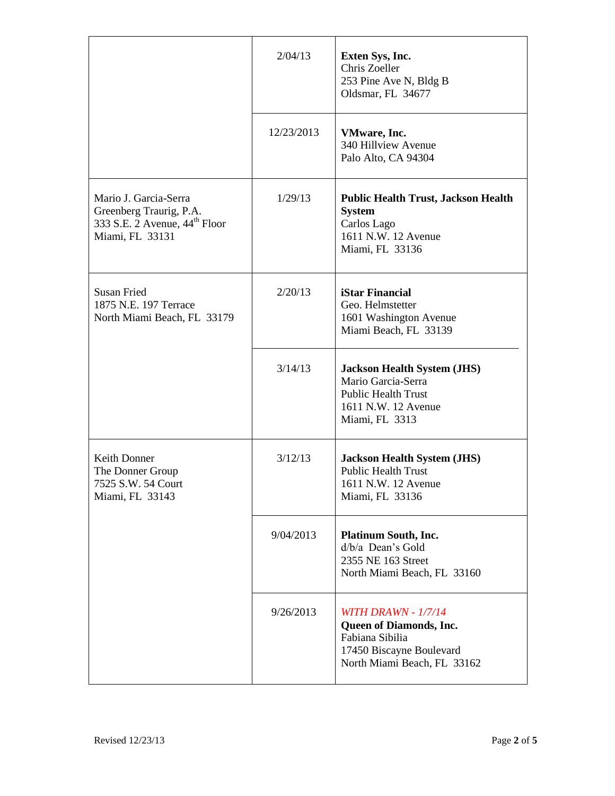|                                                                                                                  | 2/04/13    | Exten Sys, Inc.<br>Chris Zoeller<br>253 Pine Ave N, Bldg B<br>Oldsmar, FL 34677                                                     |
|------------------------------------------------------------------------------------------------------------------|------------|-------------------------------------------------------------------------------------------------------------------------------------|
|                                                                                                                  | 12/23/2013 | VMware, Inc.<br>340 Hillview Avenue<br>Palo Alto, CA 94304                                                                          |
| Mario J. Garcia-Serra<br>Greenberg Traurig, P.A.<br>333 S.E. 2 Avenue, 44 <sup>th</sup> Floor<br>Miami, FL 33131 | 1/29/13    | <b>Public Health Trust, Jackson Health</b><br><b>System</b><br>Carlos Lago<br>1611 N.W. 12 Avenue<br>Miami, FL 33136                |
| <b>Susan Fried</b><br>1875 N.E. 197 Terrace<br>North Miami Beach, FL 33179                                       | 2/20/13    | <b>iStar Financial</b><br>Geo. Helmstetter<br>1601 Washington Avenue<br>Miami Beach, FL 33139                                       |
|                                                                                                                  | 3/14/13    | <b>Jackson Health System (JHS)</b><br>Mario Garcia-Serra<br><b>Public Health Trust</b><br>1611 N.W. 12 Avenue<br>Miami, FL 3313     |
| Keith Donner<br>The Donner Group<br>7525 S.W. 54 Court<br>Miami, FL 33143                                        | 3/12/13    | <b>Jackson Health System (JHS)</b><br><b>Public Health Trust</b><br>1611 N.W. 12 Avenue<br>Miami, FL 33136                          |
|                                                                                                                  | 9/04/2013  | <b>Platinum South, Inc.</b><br>d/b/a Dean's Gold<br>2355 NE 163 Street<br>North Miami Beach, FL 33160                               |
|                                                                                                                  | 9/26/2013  | <b>WITH DRAWN - 1/7/14</b><br>Queen of Diamonds, Inc.<br>Fabiana Sibilia<br>17450 Biscayne Boulevard<br>North Miami Beach, FL 33162 |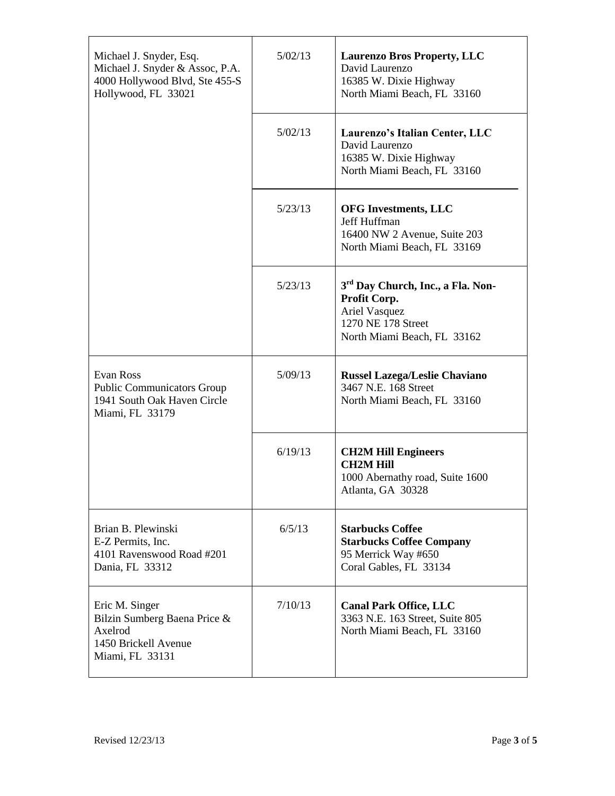| Michael J. Snyder, Esq.<br>Michael J. Snyder & Assoc, P.A.<br>4000 Hollywood Blvd, Ste 455-S<br>Hollywood, FL 33021 | 5/02/13 | <b>Laurenzo Bros Property, LLC</b><br>David Laurenzo<br>16385 W. Dixie Highway<br>North Miami Beach, FL 33160                       |
|---------------------------------------------------------------------------------------------------------------------|---------|-------------------------------------------------------------------------------------------------------------------------------------|
|                                                                                                                     | 5/02/13 | Laurenzo's Italian Center, LLC<br>David Laurenzo<br>16385 W. Dixie Highway<br>North Miami Beach, FL 33160                           |
|                                                                                                                     | 5/23/13 | <b>OFG Investments, LLC</b><br>Jeff Huffman<br>16400 NW 2 Avenue, Suite 203<br>North Miami Beach, FL 33169                          |
|                                                                                                                     | 5/23/13 | 3 <sup>rd</sup> Day Church, Inc., a Fla. Non-<br>Profit Corp.<br>Ariel Vasquez<br>1270 NE 178 Street<br>North Miami Beach, FL 33162 |
| <b>Evan Ross</b><br><b>Public Communicators Group</b><br>1941 South Oak Haven Circle<br>Miami, FL 33179             | 5/09/13 | <b>Russel Lazega/Leslie Chaviano</b><br>3467 N.E. 168 Street<br>North Miami Beach, FL 33160                                         |
|                                                                                                                     | 6/19/13 | <b>CH2M Hill Engineers</b><br><b>CH2M Hill</b><br>1000 Abernathy road, Suite 1600<br>Atlanta, GA 30328                              |
| Brian B. Plewinski<br>E-Z Permits, Inc.<br>4101 Ravenswood Road #201<br>Dania, FL 33312                             | 6/5/13  | <b>Starbucks Coffee</b><br><b>Starbucks Coffee Company</b><br>95 Merrick Way #650<br>Coral Gables, FL 33134                         |
| Eric M. Singer<br>Bilzin Sumberg Baena Price &<br>Axelrod<br>1450 Brickell Avenue<br>Miami, FL 33131                | 7/10/13 | <b>Canal Park Office, LLC</b><br>3363 N.E. 163 Street, Suite 805<br>North Miami Beach, FL 33160                                     |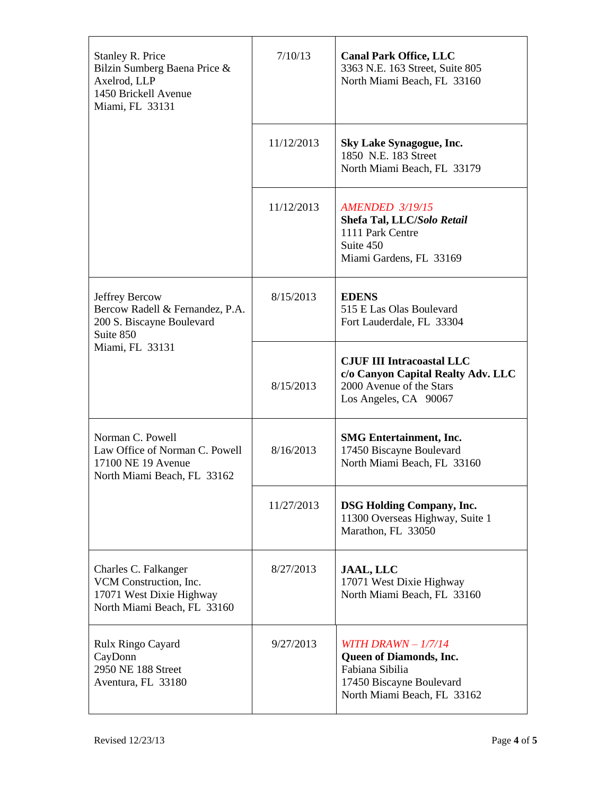| <b>Stanley R. Price</b><br>Bilzin Sumberg Baena Price &<br>Axelrod, LLP<br>1450 Brickell Avenue<br>Miami, FL 33131 | 7/10/13    | <b>Canal Park Office, LLC</b><br>3363 N.E. 163 Street, Suite 805<br>North Miami Beach, FL 33160                               |
|--------------------------------------------------------------------------------------------------------------------|------------|-------------------------------------------------------------------------------------------------------------------------------|
|                                                                                                                    | 11/12/2013 | <b>Sky Lake Synagogue, Inc.</b><br>1850 N.E. 183 Street<br>North Miami Beach, FL 33179                                        |
|                                                                                                                    | 11/12/2013 | <b>AMENDED 3/19/15</b><br>Shefa Tal, LLC/Solo Retail<br>1111 Park Centre<br>Suite 450<br>Miami Gardens, FL 33169              |
| Jeffrey Bercow<br>Bercow Radell & Fernandez, P.A.<br>200 S. Biscayne Boulevard<br>Suite 850<br>Miami, FL 33131     | 8/15/2013  | <b>EDENS</b><br>515 E Las Olas Boulevard<br>Fort Lauderdale, FL 33304                                                         |
|                                                                                                                    | 8/15/2013  | <b>CJUF III Intracoastal LLC</b><br>c/o Canyon Capital Realty Adv. LLC<br>2000 Avenue of the Stars<br>Los Angeles, CA 90067   |
| Norman C. Powell<br>Law Office of Norman C. Powell<br>17100 NE 19 Avenue<br>North Miami Beach, FL 33162            | 8/16/2013  | <b>SMG</b> Entertainment, Inc.<br>17450 Biscayne Boulevard<br>North Miami Beach, FL 33160                                     |
|                                                                                                                    | 11/27/2013 | <b>DSG Holding Company, Inc.</b><br>11300 Overseas Highway, Suite 1<br>Marathon, FL 33050                                     |
| Charles C. Falkanger<br>VCM Construction, Inc.<br>17071 West Dixie Highway<br>North Miami Beach, FL 33160          | 8/27/2013  | <b>JAAL, LLC</b><br>17071 West Dixie Highway<br>North Miami Beach, FL 33160                                                   |
| Rulx Ringo Cayard<br>CayDonn<br>2950 NE 188 Street<br>Aventura, FL 33180                                           | 9/27/2013  | WITH DRAWN $-1/7/14$<br>Queen of Diamonds, Inc.<br>Fabiana Sibilia<br>17450 Biscayne Boulevard<br>North Miami Beach, FL 33162 |